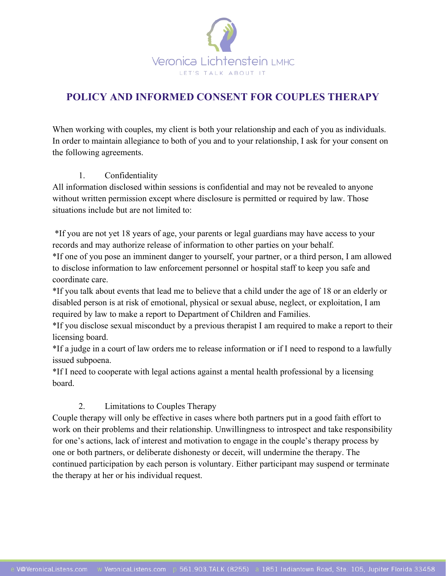

# **POLICY AND INFORMED CONSENT FOR COUPLES THERAPY**

When working with couples, my client is both your relationship and each of you as individuals. In order to maintain allegiance to both of you and to your relationship, I ask for your consent on the following agreements.

### 1. Confidentiality

All information disclosed within sessions is confidential and may not be revealed to anyone without written permission except where disclosure is permitted or required by law. Those situations include but are not limited to:

\*If you are not yet 18 years of age, your parents or legal guardians may have access to your records and may authorize release of information to other parties on your behalf.

\*If one of you pose an imminent danger to yourself, your partner, or a third person, I am allowed to disclose information to law enforcement personnel or hospital staff to keep you safe and coordinate care.

\*If you talk about events that lead me to believe that a child under the age of 18 or an elderly or disabled person is at risk of emotional, physical or sexual abuse, neglect, or exploitation, I am required by law to make a report to Department of Children and Families.

\*If you disclose sexual misconduct by a previous therapist I am required to make a report to their licensing board.

\*If a judge in a court of law orders me to release information or if I need to respond to a lawfully issued subpoena.

\*If I need to cooperate with legal actions against a mental health professional by a licensing board.

## 2. Limitations to Couples Therapy

Couple therapy will only be effective in cases where both partners put in a good faith effort to work on their problems and their relationship. Unwillingness to introspect and take responsibility for one's actions, lack of interest and motivation to engage in the couple's therapy process by one or both partners, or deliberate dishonesty or deceit, will undermine the therapy. The continued participation by each person is voluntary. Either participant may suspend or terminate the therapy at her or his individual request.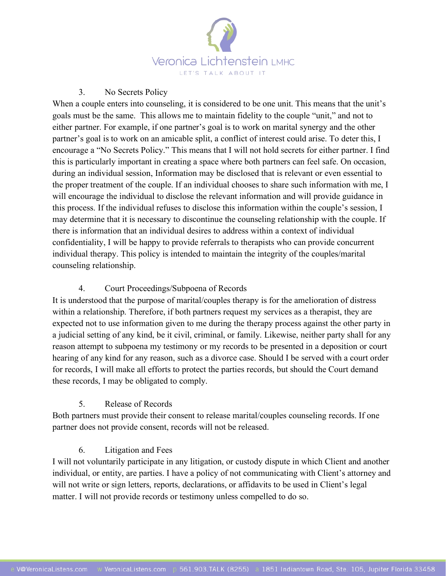

#### 3. No Secrets Policy

When a couple enters into counseling, it is considered to be one unit. This means that the unit's goals must be the same. This allows me to maintain fidelity to the couple "unit," and not to either partner. For example, if one partner's goal is to work on marital synergy and the other partner's goal is to work on an amicable split, a conflict of interest could arise. To deter this, I encourage a "No Secrets Policy." This means that I will not hold secrets for either partner. I find this is particularly important in creating a space where both partners can feel safe. On occasion, during an individual session, Information may be disclosed that is relevant or even essential to the proper treatment of the couple. If an individual chooses to share such information with me, I will encourage the individual to disclose the relevant information and will provide guidance in this process. If the individual refuses to disclose this information within the couple's session, I may determine that it is necessary to discontinue the counseling relationship with the couple. If there is information that an individual desires to address within a context of individual confidentiality, I will be happy to provide referrals to therapists who can provide concurrent individual therapy. This policy is intended to maintain the integrity of the couples/marital counseling relationship.

#### 4. Court Proceedings/Subpoena of Records

It is understood that the purpose of marital/couples therapy is for the amelioration of distress within a relationship. Therefore, if both partners request my services as a therapist, they are expected not to use information given to me during the therapy process against the other party in a judicial setting of any kind, be it civil, criminal, or family. Likewise, neither party shall for any reason attempt to subpoena my testimony or my records to be presented in a deposition or court hearing of any kind for any reason, such as a divorce case. Should I be served with a court order for records, I will make all efforts to protect the parties records, but should the Court demand these records, I may be obligated to comply.

#### 5. Release of Records

Both partners must provide their consent to release marital/couples counseling records. If one partner does not provide consent, records will not be released.

#### 6. Litigation and Fees

I will not voluntarily participate in any litigation, or custody dispute in which Client and another individual, or entity, are parties. I have a policy of not communicating with Client's attorney and will not write or sign letters, reports, declarations, or affidavits to be used in Client's legal matter. I will not provide records or testimony unless compelled to do so.